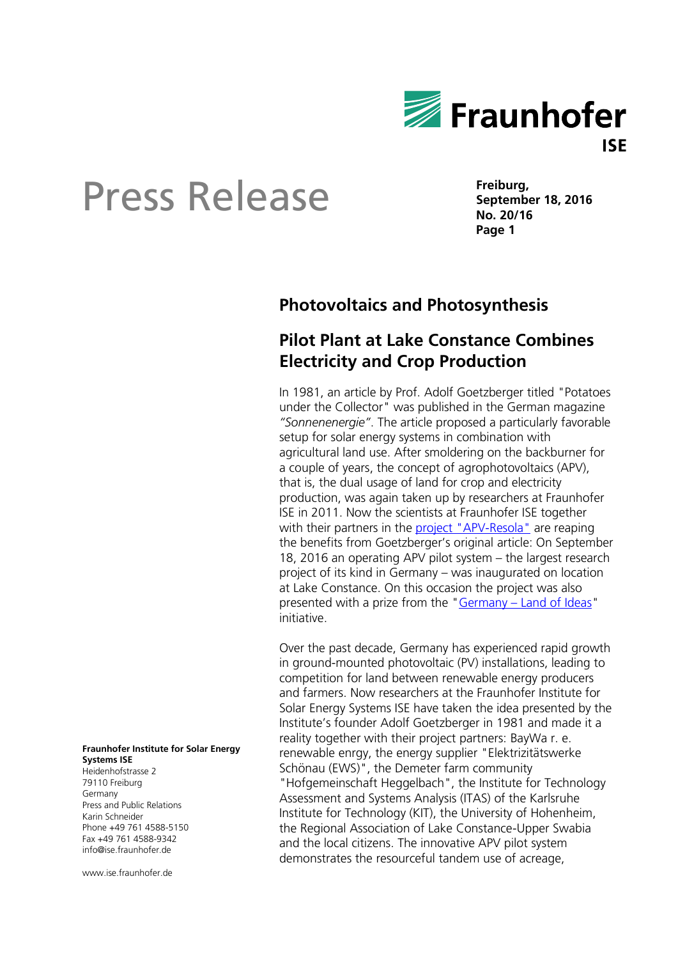

**Freiburg, September 18, 2016 No. 20/16 Page 1**

## **Photovoltaics and Photosynthesis**

## **Pilot Plant at Lake Constance Combines Electricity and Crop Production**

In 1981, an article by Prof. Adolf Goetzberger titled "Potatoes under the Collector" was published in the German magazine *"Sonnenenergie"*. The article proposed a particularly favorable setup for solar energy systems in combination with agricultural land use. After smoldering on the backburner for a couple of years, the concept of agrophotovoltaics (APV), that is, the dual usage of land for crop and electricity production, was again taken up by researchers at Fraunhofer ISE in 2011. Now the scientists at Fraunhofer ISE together with their partners in the **project** "APV-Resola" are reaping the benefits from Goetzberger's original article: On September 18, 2016 an operating APV pilot system – the largest research project of its kind in Germany – was inaugurated on location at Lake Constance. On this occasion the project was also presented with a prize from the "Germany - [Land of Ideas"](https://www.land-der-ideen.de/en) initiative.

Over the past decade, Germany has experienced rapid growth in ground-mounted photovoltaic (PV) installations, leading to competition for land between renewable energy producers and farmers. Now researchers at the Fraunhofer Institute for Solar Energy Systems ISE have taken the idea presented by the Institute's founder Adolf Goetzberger in 1981 and made it a reality together with their project partners: BayWa r. e. renewable enrgy, the energy supplier "Elektrizitätswerke Schönau (EWS)", the Demeter farm community "Hofgemeinschaft Heggelbach", the Institute for Technology Assessment and Systems Analysis (ITAS) of the Karlsruhe Institute for Technology (KIT), the University of Hohenheim, the Regional Association of Lake Constance-Upper Swabia and the local citizens. The innovative APV pilot system demonstrates the resourceful tandem use of acreage,

#### **Fraunhofer Institute for Solar Energy Systems ISE**

Heidenhofstrasse 2 79110 Freiburg Germany Press and Public Relations Karin Schneider Phone +49 761 4588-5150 Fax +49 761 4588-9342 info@ise.fraunhofer.de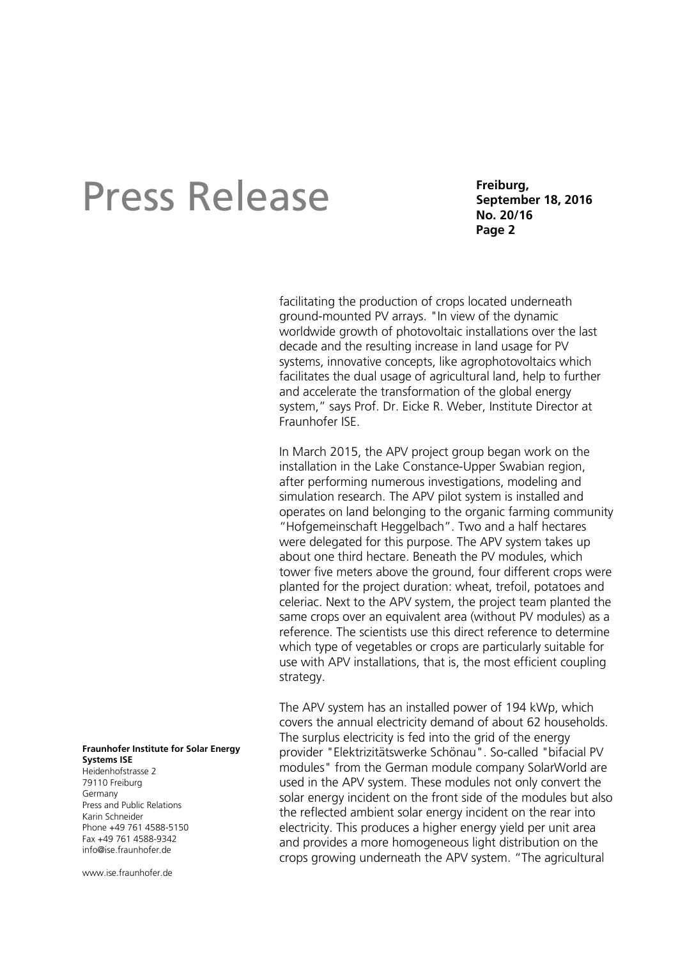**Freiburg, September 18, 2016 No. 20/16 Page 2**

facilitating the production of crops located underneath ground-mounted PV arrays. "In view of the dynamic worldwide growth of photovoltaic installations over the last decade and the resulting increase in land usage for PV systems, innovative concepts, like agrophotovoltaics which facilitates the dual usage of agricultural land, help to further and accelerate the transformation of the global energy system," says Prof. Dr. Eicke R. Weber, Institute Director at Fraunhofer ISE.

In March 2015, the APV project group began work on the installation in the Lake Constance-Upper Swabian region, after performing numerous investigations, modeling and simulation research. The APV pilot system is installed and operates on land belonging to the organic farming community "Hofgemeinschaft Heggelbach". Two and a half hectares were delegated for this purpose. The APV system takes up about one third hectare. Beneath the PV modules, which tower five meters above the ground, four different crops were planted for the project duration: wheat, trefoil, potatoes and celeriac. Next to the APV system, the project team planted the same crops over an equivalent area (without PV modules) as a reference. The scientists use this direct reference to determine which type of vegetables or crops are particularly suitable for use with APV installations, that is, the most efficient coupling strategy.

The APV system has an installed power of 194 kWp, which covers the annual electricity demand of about 62 households. The surplus electricity is fed into the grid of the energy provider "Elektrizitätswerke Schönau". So-called "bifacial PV modules" from the German module company SolarWorld are used in the APV system. These modules not only convert the solar energy incident on the front side of the modules but also the reflected ambient solar energy incident on the rear into electricity. This produces a higher energy yield per unit area and provides a more homogeneous light distribution on the crops growing underneath the APV system. "The agricultural

#### **Fraunhofer Institute for Solar Energy Systems ISE**

Heidenhofstrasse 2 79110 Freiburg Germany Press and Public Relations Karin Schneider Phone +49 761 4588-5150 Fax +49 761 4588-9342 info@ise.fraunhofer.de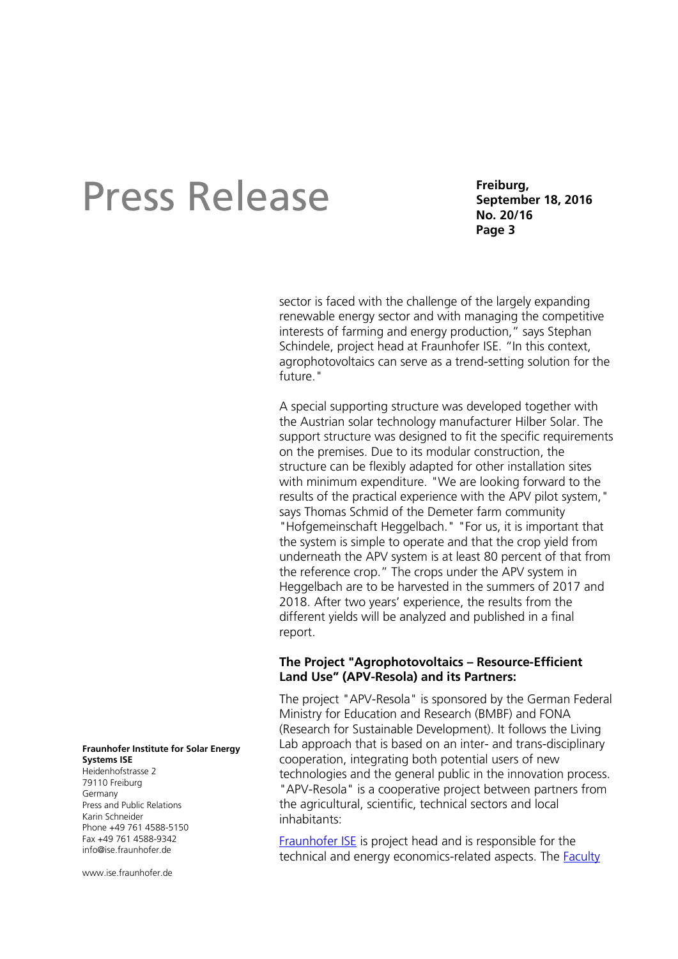**Freiburg, September 18, 2016 No. 20/16 Page 3**

sector is faced with the challenge of the largely expanding renewable energy sector and with managing the competitive interests of farming and energy production," says Stephan Schindele, project head at Fraunhofer ISE. "In this context, agrophotovoltaics can serve as a trend-setting solution for the future."

A special supporting structure was developed together with the Austrian solar technology manufacturer Hilber Solar. The support structure was designed to fit the specific requirements on the premises. Due to its modular construction, the structure can be flexibly adapted for other installation sites with minimum expenditure. "We are looking forward to the results of the practical experience with the APV pilot system," says Thomas Schmid of the Demeter farm community "Hofgemeinschaft Heggelbach." "For us, it is important that the system is simple to operate and that the crop yield from underneath the APV system is at least 80 percent of that from the reference crop." The crops under the APV system in Heggelbach are to be harvested in the summers of 2017 and 2018. After two years' experience, the results from the different yields will be analyzed and published in a final report.

### **The Project "Agrophotovoltaics – Resource-Efficient Land Use" (APV-Resola) and its Partners:**

The project "APV-Resola" is sponsored by the German Federal Ministry for Education and Research (BMBF) and FONA (Research for Sustainable Development). It follows the Living Lab approach that is based on an inter- and trans-disciplinary cooperation, integrating both potential users of new technologies and the general public in the innovation process. "APV-Resola" is a cooperative project between partners from the agricultural, scientific, technical sectors and local inhabitants:

[Fraunhofer ISE](https://www.ise.fraunhofer.de/en?set_language=en) is project head and is responsible for the technical and energy economics-related aspects. The [Faculty](https://agrar.uni-hohenheim.de/en/105805) 

#### **Fraunhofer Institute for Solar Energy Systems ISE**

Heidenhofstrasse 2 79110 Freiburg Germany Press and Public Relations Karin Schneider Phone +49 761 4588-5150 Fax +49 761 4588-9342 info@ise.fraunhofer.de